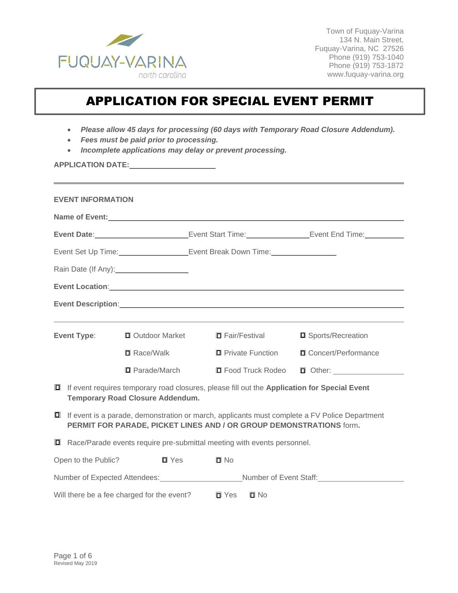

Town of Fuquay-Varina 134 N. Main Street, Fuquay-Varina, NC 27526 Phone (919) 753-1040 Phone (919) 753-1872 www.fuquay-varina.org

### APPLICATION FOR SPECIAL EVENT PERMIT

- *Please allow 45 days for processing (60 days with Temporary Road Closure Addendum).*
- *Fees must be paid prior to processing.*
- *Incomplete applications may delay or prevent processing.*

**APPLICATION DATE:**

|                                                                                                                         | <b>EVENT INFORMATION</b>                                                                                                                                                      |                                                     |                                                                                                       |                                                                                                                                                                                                                                |  |  |  |
|-------------------------------------------------------------------------------------------------------------------------|-------------------------------------------------------------------------------------------------------------------------------------------------------------------------------|-----------------------------------------------------|-------------------------------------------------------------------------------------------------------|--------------------------------------------------------------------------------------------------------------------------------------------------------------------------------------------------------------------------------|--|--|--|
|                                                                                                                         |                                                                                                                                                                               | Name of Event: Name of Event:                       |                                                                                                       |                                                                                                                                                                                                                                |  |  |  |
| Event Date: <u>________________________________</u> Event Start Time: _______________________Event End Time: __________ |                                                                                                                                                                               |                                                     |                                                                                                       |                                                                                                                                                                                                                                |  |  |  |
| Event Set Up Time: ________________________Event Break Down Time: ______________                                        |                                                                                                                                                                               |                                                     |                                                                                                       |                                                                                                                                                                                                                                |  |  |  |
|                                                                                                                         |                                                                                                                                                                               | Rain Date (If Any): ______________________          |                                                                                                       |                                                                                                                                                                                                                                |  |  |  |
|                                                                                                                         |                                                                                                                                                                               |                                                     |                                                                                                       | Event Location: New York Contract the Contract of the Contract of the Contract of the Contract of the Contract of the Contract of the Contract of the Contract of the Contract of the Contract of the Contract of the Contract |  |  |  |
|                                                                                                                         |                                                                                                                                                                               |                                                     |                                                                                                       |                                                                                                                                                                                                                                |  |  |  |
|                                                                                                                         |                                                                                                                                                                               |                                                     |                                                                                                       |                                                                                                                                                                                                                                |  |  |  |
|                                                                                                                         |                                                                                                                                                                               | <b>Event Type:</b> I Outdoor Market I Fair/Festival |                                                                                                       | □ Sports/Recreation                                                                                                                                                                                                            |  |  |  |
|                                                                                                                         |                                                                                                                                                                               | $\blacksquare$ Race/Walk                            | <b>D</b> Private Function                                                                             | □ Concert/Performance                                                                                                                                                                                                          |  |  |  |
|                                                                                                                         |                                                                                                                                                                               | □ Parade/March                                      | <b>□</b> Food Truck Rodeo                                                                             |                                                                                                                                                                                                                                |  |  |  |
|                                                                                                                         |                                                                                                                                                                               | <b>Temporary Road Closure Addendum.</b>             | <b>I</b> If event requires temporary road closures, please fill out the Application for Special Event |                                                                                                                                                                                                                                |  |  |  |
|                                                                                                                         | <b>I</b> If event is a parade, demonstration or march, applicants must complete a FV Police Department<br>PERMIT FOR PARADE, PICKET LINES AND / OR GROUP DEMONSTRATIONS form. |                                                     |                                                                                                       |                                                                                                                                                                                                                                |  |  |  |
|                                                                                                                         |                                                                                                                                                                               |                                                     | $\Box$ Race/Parade events require pre-submittal meeting with events personnel.                        |                                                                                                                                                                                                                                |  |  |  |
|                                                                                                                         | Open to the Public?                                                                                                                                                           | $\blacksquare$ Yes                                  | $\Box$ No                                                                                             |                                                                                                                                                                                                                                |  |  |  |
| Number of Expected Attendees: Mumber of Event Staff: Mumber of Event Staff:                                             |                                                                                                                                                                               |                                                     |                                                                                                       |                                                                                                                                                                                                                                |  |  |  |
|                                                                                                                         |                                                                                                                                                                               | Will there be a fee charged for the event?          | $\blacksquare$ Yes<br>$\square$ No                                                                    |                                                                                                                                                                                                                                |  |  |  |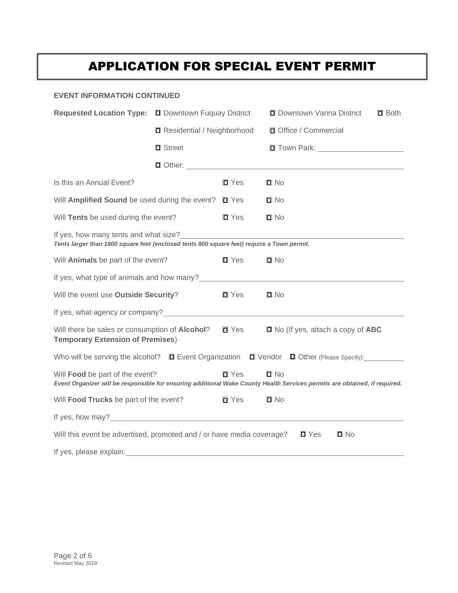#### **EVENT INFORMATION CONTINUED**

| <b>Requested Location Type:</b>                                                                                                                                                                                                | <b>O</b> Downtown Fuquay District   |                    |                       | <b>O</b> Downtown Varina District                 | $\blacksquare$ Both |
|--------------------------------------------------------------------------------------------------------------------------------------------------------------------------------------------------------------------------------|-------------------------------------|--------------------|-----------------------|---------------------------------------------------|---------------------|
|                                                                                                                                                                                                                                | <b>□</b> Residential / Neighborhood |                    | □ Office / Commercial |                                                   |                     |
|                                                                                                                                                                                                                                | $\blacksquare$ Street               |                    |                       | □ Town Park: New York 2009                        |                     |
|                                                                                                                                                                                                                                | $\Box$ Other: $\Box$                |                    |                       |                                                   |                     |
| Is this an Annual Event?                                                                                                                                                                                                       |                                     | $\blacksquare$ Yes | $\blacksquare$ No     |                                                   |                     |
| Will Amplified Sound be used during the event?                                                                                                                                                                                 |                                     | $\square$ Yes      | $\square$ No          |                                                   |                     |
| Will Tents be used during the event?                                                                                                                                                                                           | $\blacksquare$ Yes                  | $\square$ No       |                       |                                                   |                     |
| If yes, how many tents and what size?<br>Tents larger than 1800 square feet (enclosed tents 800 square feet) require a Town permit.                                                                                            |                                     |                    |                       |                                                   |                     |
| Will Animals be part of the event?                                                                                                                                                                                             |                                     | $\blacksquare$ Yes | $\square$ No          |                                                   |                     |
| If yes, what type of animals and how many?<br><u>If</u> yes, what type of animals and how many?                                                                                                                                |                                     |                    |                       |                                                   |                     |
| Will the event use Outside Security?                                                                                                                                                                                           |                                     | $\blacksquare$ Yes | $\square$ No          |                                                   |                     |
| If yes, what agency or company? The contract of the contract of the contract of the contract of the contract of the contract of the contract of the contract of the contract of the contract of the contract of the contract o |                                     |                    |                       |                                                   |                     |
| Will there be sales or consumption of <b>Alcohol?</b><br><b>Temporary Extension of Premises)</b>                                                                                                                               |                                     | $\blacksquare$ Yes |                       | $\blacksquare$ No (If yes, attach a copy of $ABC$ |                     |
| Who will be serving the alcohol? $\square$ Event Organization $\square$ Vendor $\square$ Other (Please Specify):                                                                                                               |                                     |                    |                       |                                                   |                     |
| Will Food be part of the event?<br>Event Organizer will be responsible for ensuring additional Wake County Health Services permits are obtained, if required.                                                                  |                                     | $\blacksquare$ Yes | $\blacksquare$ No     |                                                   |                     |
| Will Food Trucks be part of the event?                                                                                                                                                                                         |                                     | $\blacksquare$ Yes | $\square$ No          |                                                   |                     |
| If yes, how may?<br><u>If</u> yes, how may?                                                                                                                                                                                    |                                     |                    |                       |                                                   |                     |
| Will this event be advertised, promoted and / or have media coverage?                                                                                                                                                          |                                     |                    |                       | $\blacksquare$ Yes<br>$\Box$ No                   |                     |
| If yes, please explain:                                                                                                                                                                                                        |                                     |                    |                       |                                                   |                     |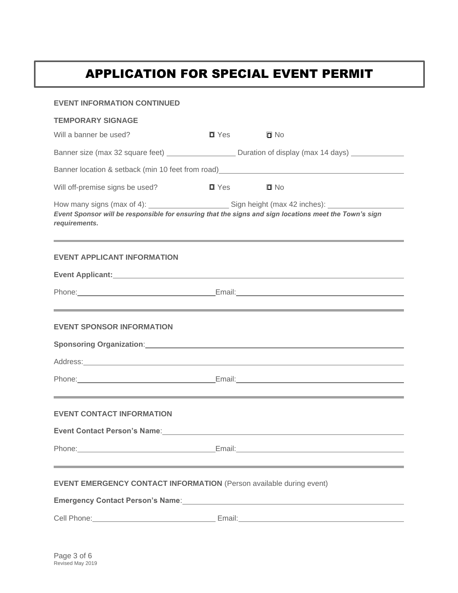| <b>EVENT INFORMATION CONTINUED</b>                                                                                                                                                                         |                    |                                                                                                                                                                                                                                      |  |  |  |  |  |
|------------------------------------------------------------------------------------------------------------------------------------------------------------------------------------------------------------|--------------------|--------------------------------------------------------------------------------------------------------------------------------------------------------------------------------------------------------------------------------------|--|--|--|--|--|
| <b>TEMPORARY SIGNAGE</b>                                                                                                                                                                                   |                    |                                                                                                                                                                                                                                      |  |  |  |  |  |
| Will a banner be used?                                                                                                                                                                                     | $\blacksquare$ Yes | $\square$ No                                                                                                                                                                                                                         |  |  |  |  |  |
|                                                                                                                                                                                                            |                    | Banner size (max 32 square feet) _________________________ Duration of display (max 14 days) _____________                                                                                                                           |  |  |  |  |  |
|                                                                                                                                                                                                            |                    |                                                                                                                                                                                                                                      |  |  |  |  |  |
| Will off-premise signs be used?                                                                                                                                                                            | $\blacksquare$ Yes | $\square$ No                                                                                                                                                                                                                         |  |  |  |  |  |
| Event Sponsor will be responsible for ensuring that the signs and sign locations meet the Town's sign<br>requirements.<br>,我们也不会有什么?""我们的人,我们也不会有什么?""我们的人,我们也不会有什么?""我们的人,我们也不会有什么?""我们的人,我们也不会有什么?""我们的人 |                    |                                                                                                                                                                                                                                      |  |  |  |  |  |
| <b>EVENT APPLICANT INFORMATION</b>                                                                                                                                                                         |                    |                                                                                                                                                                                                                                      |  |  |  |  |  |
|                                                                                                                                                                                                            |                    |                                                                                                                                                                                                                                      |  |  |  |  |  |
|                                                                                                                                                                                                            |                    |                                                                                                                                                                                                                                      |  |  |  |  |  |
| <b>EVENT SPONSOR INFORMATION</b>                                                                                                                                                                           |                    |                                                                                                                                                                                                                                      |  |  |  |  |  |
|                                                                                                                                                                                                            |                    | Sponsoring Organization: Sponsoring Organization:                                                                                                                                                                                    |  |  |  |  |  |
|                                                                                                                                                                                                            |                    | Address: Address: Address: Address: Address: Address: Address: Address: Address: Address: Address: Address: Address: Address: Address: Address: Address: Address: Address: Address: Address: Address: Address: Address: Addres       |  |  |  |  |  |
|                                                                                                                                                                                                            |                    | Phone: <u>Contract Communications Communications Communications Communications Communications Communications Communications Communications Communications Communications Communications Communications Communications Communicat</u> |  |  |  |  |  |
| <b>EVENT CONTACT INFORMATION</b>                                                                                                                                                                           |                    | ,我们也不能在这里的时候,我们也不能会在这里,我们也不能会在这里,我们也不能会在这里,我们也不能会在这里,我们也不能会在这里,我们也不能会不能会不能会。""我们                                                                                                                                                     |  |  |  |  |  |
| <b>Event Contact Person's Name:</b>                                                                                                                                                                        |                    |                                                                                                                                                                                                                                      |  |  |  |  |  |
|                                                                                                                                                                                                            |                    | Phone: Email: Email: Email: Email: Email: Email: Email: Email: Email: Email: Email: Email: Email: Email: Email: Email: Email: Email: Email: Email: Email: Email: Email: Email: Email: Email: Email: Email: Email: Email: Email       |  |  |  |  |  |
| <b>EVENT EMERGENCY CONTACT INFORMATION</b> (Person available during event)                                                                                                                                 |                    |                                                                                                                                                                                                                                      |  |  |  |  |  |
| Emergency Contact Person's Name: North Controller and Controller and Controller and Controller and Controller                                                                                              |                    |                                                                                                                                                                                                                                      |  |  |  |  |  |
|                                                                                                                                                                                                            |                    |                                                                                                                                                                                                                                      |  |  |  |  |  |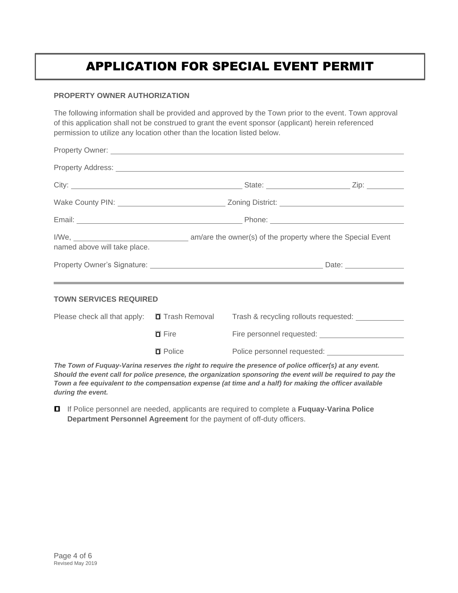#### **PROPERTY OWNER AUTHORIZATION**

The following information shall be provided and approved by the Town prior to the event. Town approval of this application shall not be construed to grant the event sponsor (applicant) herein referenced permission to utilize any location other than the location listed below.

| named above will take place.                      |                     |                                                                                                                      |  |
|---------------------------------------------------|---------------------|----------------------------------------------------------------------------------------------------------------------|--|
|                                                   |                     |                                                                                                                      |  |
|                                                   |                     | <u> 1989 - Jan Samuel Barbara, marka a shekara ta 1989 - An tsara tsara tsara tsara tsara tsara tsara tsara tsar</u> |  |
| <b>TOWN SERVICES REQUIRED</b>                     |                     |                                                                                                                      |  |
| Please check all that apply: $\Box$ Trash Removal |                     |                                                                                                                      |  |
|                                                   | $\blacksquare$ Fire |                                                                                                                      |  |

*The Town of Fuquay-Varina reserves the right to require the presence of police officer(s) at any event. Should the event call for police presence, the organization sponsoring the event will be required to pay the Town a fee equivalent to the compensation expense (at time and a half) for making the officer available during the event.*

 If Police personnel are needed, applicants are required to complete a **Fuquay-Varina Police Department Personnel Agreement** for the payment of off-duty officers.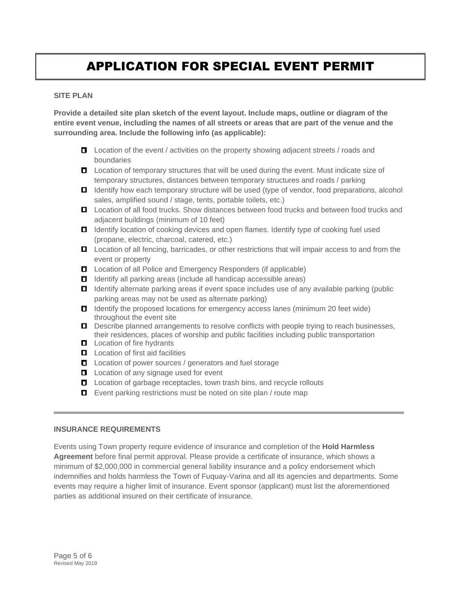### **SITE PLAN**

**Provide a detailed site plan sketch of the event layout. Include maps, outline or diagram of the entire event venue, including the names of all streets or areas that are part of the venue and the surrounding area. Include the following info (as applicable):**

- Location of the event / activities on the property showing adjacent streets / roads and boundaries
- $\Box$  Location of temporary structures that will be used during the event. Must indicate size of temporary structures, distances between temporary structures and roads / parking
- **I** Identify how each temporary structure will be used (type of vendor, food preparations, alcohol sales, amplified sound / stage, tents, portable toilets, etc.)
- **L** Location of all food trucks. Show distances between food trucks and between food trucks and adjacent buildings (minimum of 10 feet)
- **I** Identify location of cooking devices and open flames. Identify type of cooking fuel used (propane, electric, charcoal, catered, etc.)
- **L** Location of all fencing, barricades, or other restrictions that will impair access to and from the event or property
- $\Box$  Location of all Police and Emergency Responders (if applicable)
- $\Box$  Identify all parking areas (include all handicap accessible areas)
- $\Box$  Identify alternate parking areas if event space includes use of any available parking (public parking areas may not be used as alternate parking)
- $\Box$  Identify the proposed locations for emergency access lanes (minimum 20 feet wide) throughout the event site
- $\Box$  Describe planned arrangements to resolve conflicts with people trying to reach businesses, their residences, places of worship and public facilities including public transportation
- **L** Location of fire hydrants
- **L** Location of first aid facilities
- **□** Location of power sources / generators and fuel storage
- **L** Location of any signage used for event
- $\Box$  Location of garbage receptacles, town trash bins, and recycle rollouts
- $\Box$  Event parking restrictions must be noted on site plan / route map

### **INSURANCE REQUIREMENTS**

Events using Town property require evidence of insurance and completion of the **Hold Harmless Agreement** before final permit approval. Please provide a certificate of insurance, which shows a minimum of \$2,000,000 in commercial general liability insurance and a policy endorsement which indemnifies and holds harmless the Town of Fuquay-Varina and all its agencies and departments. Some events may require a higher limit of insurance. Event sponsor (applicant) must list the aforementioned parties as additional insured on their certificate of insurance.